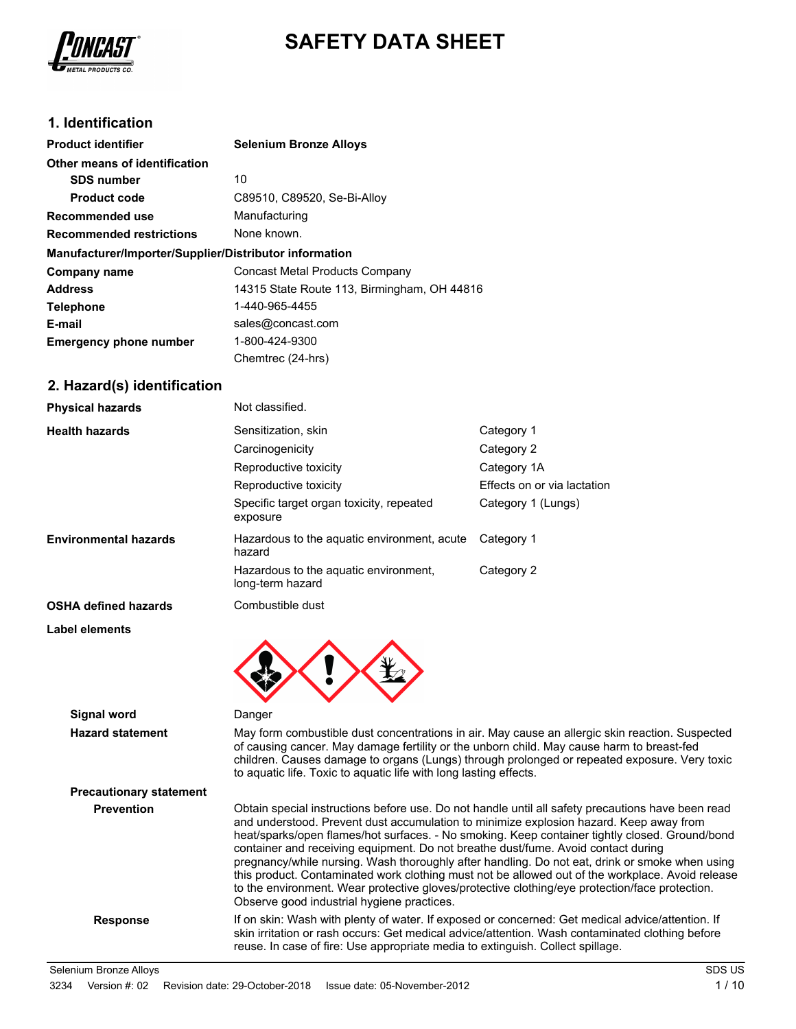

# **SAFETY DATA SHEET**

## **1. Identification**

| <b>Product identifier</b>                              | <b>Selenium Bronze Alloys</b>               |  |
|--------------------------------------------------------|---------------------------------------------|--|
| Other means of identification                          |                                             |  |
| <b>SDS number</b>                                      | 10                                          |  |
| Product code                                           | C89510, C89520, Se-Bi-Alloy                 |  |
| Recommended use                                        | Manufacturing                               |  |
| <b>Recommended restrictions</b>                        | None known.                                 |  |
| Manufacturer/Importer/Supplier/Distributor information |                                             |  |
| Company name                                           | <b>Concast Metal Products Company</b>       |  |
| <b>Address</b>                                         | 14315 State Route 113, Birmingham, OH 44816 |  |
| <b>Telephone</b>                                       | 1-440-965-4455                              |  |
| E-mail                                                 | sales@concast.com                           |  |
| <b>Emergency phone number</b>                          | 1-800-424-9300                              |  |
|                                                        | Chemtrec (24-hrs)                           |  |

## **2. Hazard(s) identification**

| <b>Physical hazards</b>      | Not classified.                                           |                             |
|------------------------------|-----------------------------------------------------------|-----------------------------|
| <b>Health hazards</b>        | Sensitization, skin                                       | Category 1                  |
|                              | Carcinogenicity                                           | Category 2                  |
|                              | Reproductive toxicity                                     | Category 1A                 |
|                              | Reproductive toxicity                                     | Effects on or via lactation |
|                              | Specific target organ toxicity, repeated<br>exposure      | Category 1 (Lungs)          |
| <b>Environmental hazards</b> | Hazardous to the aquatic environment, acute<br>hazard     | Category 1                  |
|                              | Hazardous to the aquatic environment,<br>long-term hazard | Category 2                  |
| <b>OSHA defined hazards</b>  | Combustible dust                                          |                             |
| Label elements               |                                                           |                             |

**Signal word** Danger **Hazard statement** May form combustible dust concentrations in air. May cause an allergic skin reaction. Suspected of causing cancer. May damage fertility or the unborn child. May cause harm to breast-fed children. Causes damage to organs (Lungs) through prolonged or repeated exposure. Very toxic to aquatic life. Toxic to aquatic life with long lasting effects. **Precautionary statement Prevention** Obtain special instructions before use. Do not handle until all safety precautions have been read and understood. Prevent dust accumulation to minimize explosion hazard. Keep away from heat/sparks/open flames/hot surfaces. - No smoking. Keep container tightly closed. Ground/bond container and receiving equipment. Do not breathe dust/fume. Avoid contact during pregnancy/while nursing. Wash thoroughly after handling. Do not eat, drink or smoke when using this product. Contaminated work clothing must not be allowed out of the workplace. Avoid release to the environment. Wear protective gloves/protective clothing/eye protection/face protection. Observe good industrial hygiene practices. Response **If on skin: Wash with plenty of water. If exposed or concerned: Get medical advice/attention. If** skin irritation or rash occurs: Get medical advice/attention. Wash contaminated clothing before reuse. In case of fire: Use appropriate media to extinguish. Collect spillage. Selenium Bronze Alloys SDS US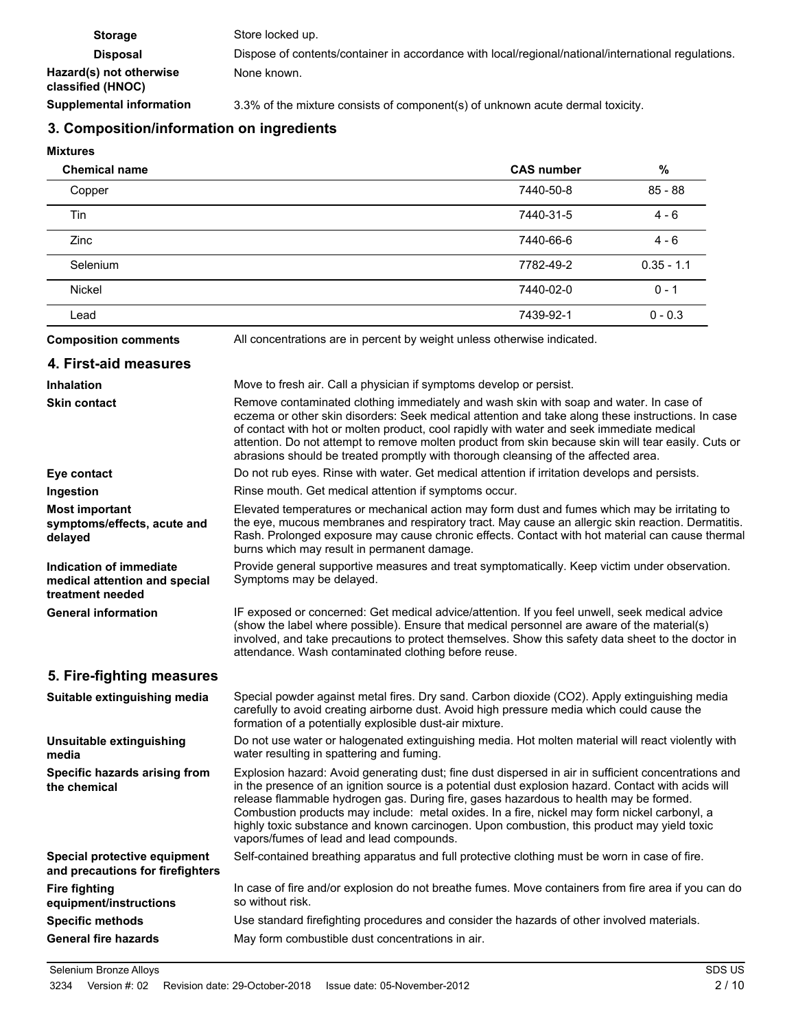| <b>Storage</b>                               | Store locked up.                                                                                    |
|----------------------------------------------|-----------------------------------------------------------------------------------------------------|
| <b>Disposal</b>                              | Dispose of contents/container in accordance with local/regional/national/international regulations. |
| Hazard(s) not otherwise<br>classified (HNOC) | None known.                                                                                         |
| <b>Supplemental information</b>              | 3.3% of the mixture consists of component(s) of unknown acute dermal toxicity.                      |

# **3. Composition/information on ingredients**

## **Mixtures**

| <b>Chemical name</b>                                                         |                                                                                                                                                                                                                                                                                                                                                                                                                                                                                                                                                | <b>CAS number</b> | $\%$         |
|------------------------------------------------------------------------------|------------------------------------------------------------------------------------------------------------------------------------------------------------------------------------------------------------------------------------------------------------------------------------------------------------------------------------------------------------------------------------------------------------------------------------------------------------------------------------------------------------------------------------------------|-------------------|--------------|
| Copper                                                                       |                                                                                                                                                                                                                                                                                                                                                                                                                                                                                                                                                | 7440-50-8         | $85 - 88$    |
| Tin                                                                          |                                                                                                                                                                                                                                                                                                                                                                                                                                                                                                                                                | 7440-31-5         | $4 - 6$      |
| Zinc                                                                         |                                                                                                                                                                                                                                                                                                                                                                                                                                                                                                                                                | 7440-66-6         | $4 - 6$      |
| Selenium                                                                     |                                                                                                                                                                                                                                                                                                                                                                                                                                                                                                                                                | 7782-49-2         | $0.35 - 1.1$ |
| Nickel                                                                       |                                                                                                                                                                                                                                                                                                                                                                                                                                                                                                                                                | 7440-02-0         | $0 - 1$      |
| Lead                                                                         |                                                                                                                                                                                                                                                                                                                                                                                                                                                                                                                                                | 7439-92-1         | $0 - 0.3$    |
| <b>Composition comments</b>                                                  | All concentrations are in percent by weight unless otherwise indicated.                                                                                                                                                                                                                                                                                                                                                                                                                                                                        |                   |              |
| 4. First-aid measures                                                        |                                                                                                                                                                                                                                                                                                                                                                                                                                                                                                                                                |                   |              |
| <b>Inhalation</b>                                                            | Move to fresh air. Call a physician if symptoms develop or persist.                                                                                                                                                                                                                                                                                                                                                                                                                                                                            |                   |              |
| <b>Skin contact</b>                                                          | Remove contaminated clothing immediately and wash skin with soap and water. In case of<br>eczema or other skin disorders: Seek medical attention and take along these instructions. In case<br>of contact with hot or molten product, cool rapidly with water and seek immediate medical<br>attention. Do not attempt to remove molten product from skin because skin will tear easily. Cuts or<br>abrasions should be treated promptly with thorough cleansing of the affected area.                                                          |                   |              |
| Eye contact                                                                  | Do not rub eyes. Rinse with water. Get medical attention if irritation develops and persists.                                                                                                                                                                                                                                                                                                                                                                                                                                                  |                   |              |
| Ingestion                                                                    | Rinse mouth. Get medical attention if symptoms occur.                                                                                                                                                                                                                                                                                                                                                                                                                                                                                          |                   |              |
| <b>Most important</b><br>symptoms/effects, acute and<br>delayed              | Elevated temperatures or mechanical action may form dust and fumes which may be irritating to<br>the eye, mucous membranes and respiratory tract. May cause an allergic skin reaction. Dermatitis.<br>Rash. Prolonged exposure may cause chronic effects. Contact with hot material can cause thermal<br>burns which may result in permanent damage.                                                                                                                                                                                           |                   |              |
| Indication of immediate<br>medical attention and special<br>treatment needed | Provide general supportive measures and treat symptomatically. Keep victim under observation.<br>Symptoms may be delayed.                                                                                                                                                                                                                                                                                                                                                                                                                      |                   |              |
| <b>General information</b>                                                   | IF exposed or concerned: Get medical advice/attention. If you feel unwell, seek medical advice<br>(show the label where possible). Ensure that medical personnel are aware of the material(s)<br>involved, and take precautions to protect themselves. Show this safety data sheet to the doctor in<br>attendance. Wash contaminated clothing before reuse.                                                                                                                                                                                    |                   |              |
| 5. Fire-fighting measures                                                    |                                                                                                                                                                                                                                                                                                                                                                                                                                                                                                                                                |                   |              |
| Suitable extinguishing media                                                 | Special powder against metal fires. Dry sand. Carbon dioxide (CO2). Apply extinguishing media<br>carefully to avoid creating airborne dust. Avoid high pressure media which could cause the<br>formation of a potentially explosible dust-air mixture.                                                                                                                                                                                                                                                                                         |                   |              |
| Unsuitable extinguishing<br>media                                            | Do not use water or halogenated extinguishing media. Hot molten material will react violently with<br>water resulting in spattering and fuming.                                                                                                                                                                                                                                                                                                                                                                                                |                   |              |
| Specific hazards arising from<br>the chemical                                | Explosion hazard: Avoid generating dust; fine dust dispersed in air in sufficient concentrations and<br>in the presence of an ignition source is a potential dust explosion hazard. Contact with acids will<br>release flammable hydrogen gas. During fire, gases hazardous to health may be formed.<br>Combustion products may include: metal oxides. In a fire, nickel may form nickel carbonyl, a<br>highly toxic substance and known carcinogen. Upon combustion, this product may yield toxic<br>vapors/fumes of lead and lead compounds. |                   |              |
| Special protective equipment<br>and precautions for firefighters             | Self-contained breathing apparatus and full protective clothing must be worn in case of fire.                                                                                                                                                                                                                                                                                                                                                                                                                                                  |                   |              |
| <b>Fire fighting</b><br>equipment/instructions                               | In case of fire and/or explosion do not breathe fumes. Move containers from fire area if you can do<br>so without risk.                                                                                                                                                                                                                                                                                                                                                                                                                        |                   |              |
| <b>Specific methods</b>                                                      | Use standard firefighting procedures and consider the hazards of other involved materials.                                                                                                                                                                                                                                                                                                                                                                                                                                                     |                   |              |
| <b>General fire hazards</b>                                                  | May form combustible dust concentrations in air.                                                                                                                                                                                                                                                                                                                                                                                                                                                                                               |                   |              |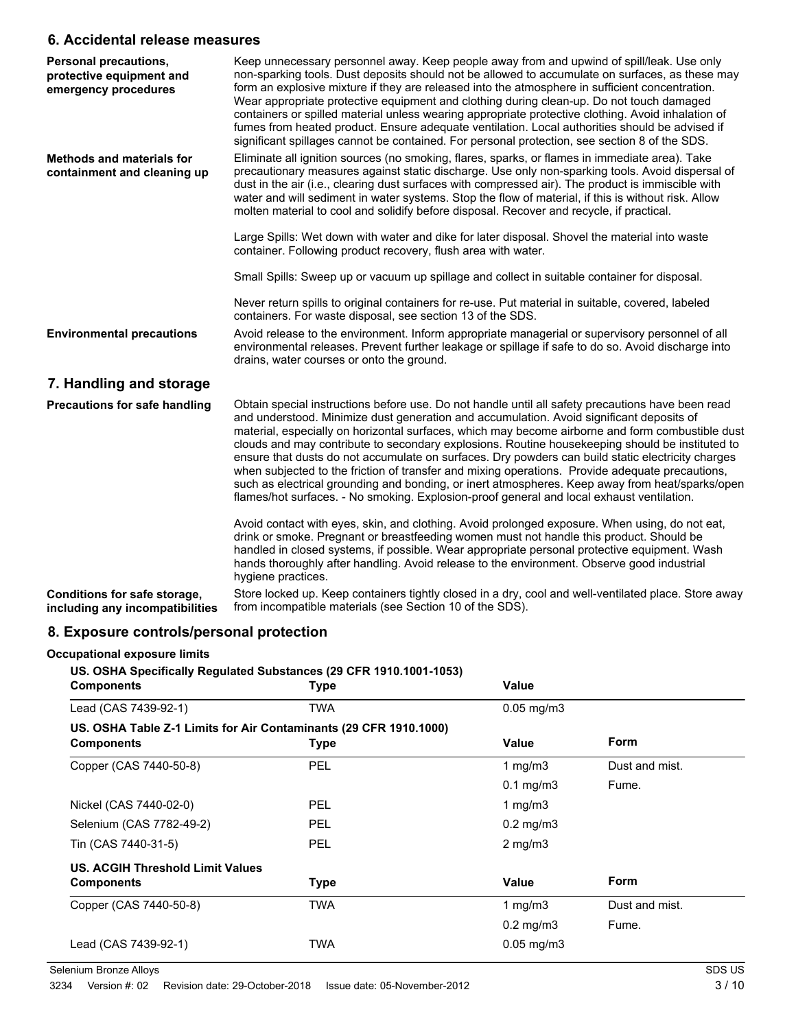## **6. Accidental release measures**

| <b>Personal precautions,</b><br>protective equipment and<br>emergency procedures | Keep unnecessary personnel away. Keep people away from and upwind of spill/leak. Use only<br>non-sparking tools. Dust deposits should not be allowed to accumulate on surfaces, as these may<br>form an explosive mixture if they are released into the atmosphere in sufficient concentration.<br>Wear appropriate protective equipment and clothing during clean-up. Do not touch damaged<br>containers or spilled material unless wearing appropriate protective clothing. Avoid inhalation of<br>fumes from heated product. Ensure adequate ventilation. Local authorities should be advised if<br>significant spillages cannot be contained. For personal protection, see section 8 of the SDS.                                                                                                         |
|----------------------------------------------------------------------------------|--------------------------------------------------------------------------------------------------------------------------------------------------------------------------------------------------------------------------------------------------------------------------------------------------------------------------------------------------------------------------------------------------------------------------------------------------------------------------------------------------------------------------------------------------------------------------------------------------------------------------------------------------------------------------------------------------------------------------------------------------------------------------------------------------------------|
| <b>Methods and materials for</b><br>containment and cleaning up                  | Eliminate all ignition sources (no smoking, flares, sparks, or flames in immediate area). Take<br>precautionary measures against static discharge. Use only non-sparking tools. Avoid dispersal of<br>dust in the air (i.e., clearing dust surfaces with compressed air). The product is immiscible with<br>water and will sediment in water systems. Stop the flow of material, if this is without risk. Allow<br>molten material to cool and solidify before disposal. Recover and recycle, if practical.                                                                                                                                                                                                                                                                                                  |
|                                                                                  | Large Spills: Wet down with water and dike for later disposal. Shovel the material into waste<br>container. Following product recovery, flush area with water.                                                                                                                                                                                                                                                                                                                                                                                                                                                                                                                                                                                                                                               |
|                                                                                  | Small Spills: Sweep up or vacuum up spillage and collect in suitable container for disposal.                                                                                                                                                                                                                                                                                                                                                                                                                                                                                                                                                                                                                                                                                                                 |
|                                                                                  | Never return spills to original containers for re-use. Put material in suitable, covered, labeled<br>containers. For waste disposal, see section 13 of the SDS.                                                                                                                                                                                                                                                                                                                                                                                                                                                                                                                                                                                                                                              |
| <b>Environmental precautions</b>                                                 | Avoid release to the environment. Inform appropriate managerial or supervisory personnel of all<br>environmental releases. Prevent further leakage or spillage if safe to do so. Avoid discharge into<br>drains, water courses or onto the ground.                                                                                                                                                                                                                                                                                                                                                                                                                                                                                                                                                           |
| 7. Handling and storage                                                          |                                                                                                                                                                                                                                                                                                                                                                                                                                                                                                                                                                                                                                                                                                                                                                                                              |
| <b>Precautions for safe handling</b>                                             | Obtain special instructions before use. Do not handle until all safety precautions have been read<br>and understood. Minimize dust generation and accumulation. Avoid significant deposits of<br>material, especially on horizontal surfaces, which may become airborne and form combustible dust<br>clouds and may contribute to secondary explosions. Routine housekeeping should be instituted to<br>ensure that dusts do not accumulate on surfaces. Dry powders can build static electricity charges<br>when subjected to the friction of transfer and mixing operations. Provide adequate precautions,<br>such as electrical grounding and bonding, or inert atmospheres. Keep away from heat/sparks/open<br>flames/hot surfaces. - No smoking. Explosion-proof general and local exhaust ventilation. |
|                                                                                  | Avoid contact with eyes, skin, and clothing. Avoid prolonged exposure. When using, do not eat,<br>drink or smoke. Pregnant or breastfeeding women must not handle this product. Should be<br>handled in closed systems, if possible. Wear appropriate personal protective equipment. Wash<br>hands thoroughly after handling. Avoid release to the environment. Observe good industrial<br>hygiene practices.                                                                                                                                                                                                                                                                                                                                                                                                |
| Conditions for safe storage,<br>including any incompatibilities                  | Store locked up. Keep containers tightly closed in a dry, cool and well-ventilated place. Store away<br>from incompatible materials (see Section 10 of the SDS).                                                                                                                                                                                                                                                                                                                                                                                                                                                                                                                                                                                                                                             |

## **8. Exposure controls/personal protection**

## **Occupational exposure limits**

**US. OSHA Specifically Regulated Substances (29 CFR 1910.1001-1053)**

| <b>Components</b>                                                                      | <b>Type</b> | Value                |                |
|----------------------------------------------------------------------------------------|-------------|----------------------|----------------|
| Lead (CAS 7439-92-1)                                                                   | TWA         | $0.05$ mg/m $3$      |                |
| US. OSHA Table Z-1 Limits for Air Contaminants (29 CFR 1910.1000)<br><b>Components</b> | <b>Type</b> | Value                | <b>Form</b>    |
| Copper (CAS 7440-50-8)                                                                 | <b>PEL</b>  | 1 mg/m $3$           | Dust and mist. |
|                                                                                        |             | $0.1$ mg/m $3$       | Fume.          |
| Nickel (CAS 7440-02-0)                                                                 | <b>PEL</b>  | 1 mg/m $3$           |                |
| Selenium (CAS 7782-49-2)                                                               | <b>PEL</b>  | $0.2 \text{ mg/m}$ 3 |                |
| Tin (CAS 7440-31-5)                                                                    | <b>PEL</b>  | $2$ mg/m $3$         |                |
| US. ACGIH Threshold Limit Values                                                       |             |                      |                |
| <b>Components</b>                                                                      | <b>Type</b> | Value                | <b>Form</b>    |
| Copper (CAS 7440-50-8)                                                                 | <b>TWA</b>  | 1 $mq/m3$            | Dust and mist. |
|                                                                                        |             | $0.2$ mg/m $3$       | Fume.          |
| Lead (CAS 7439-92-1)                                                                   | TWA         | $0.05$ mg/m $3$      |                |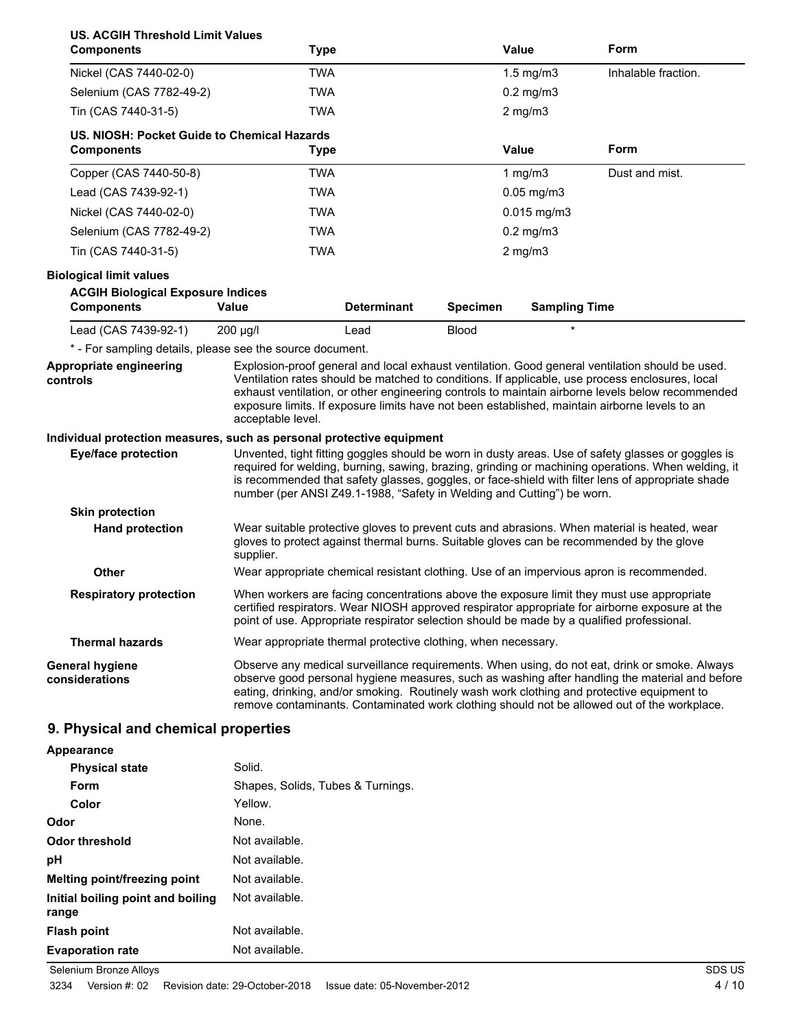| <b>US. ACGIH Threshold Limit Values</b><br><b>Components</b>                      | Type                                                                                       |                    |                 | Value                           | Form                                                                                                                                                                                                                                                                                                                                                                                                    |
|-----------------------------------------------------------------------------------|--------------------------------------------------------------------------------------------|--------------------|-----------------|---------------------------------|---------------------------------------------------------------------------------------------------------------------------------------------------------------------------------------------------------------------------------------------------------------------------------------------------------------------------------------------------------------------------------------------------------|
| Nickel (CAS 7440-02-0)                                                            | <b>TWA</b>                                                                                 |                    |                 | $1.5$ mg/m $3$                  | Inhalable fraction.                                                                                                                                                                                                                                                                                                                                                                                     |
| Selenium (CAS 7782-49-2)                                                          | <b>TWA</b>                                                                                 |                    |                 | $0.2$ mg/m $3$                  |                                                                                                                                                                                                                                                                                                                                                                                                         |
| Tin (CAS 7440-31-5)                                                               | <b>TWA</b>                                                                                 |                    |                 | $2$ mg/m $3$                    |                                                                                                                                                                                                                                                                                                                                                                                                         |
| US. NIOSH: Pocket Guide to Chemical Hazards<br><b>Components</b>                  | <b>Type</b>                                                                                |                    |                 | <b>Value</b>                    | Form                                                                                                                                                                                                                                                                                                                                                                                                    |
| Copper (CAS 7440-50-8)                                                            | <b>TWA</b>                                                                                 |                    |                 | 1 $mg/m3$                       | Dust and mist.                                                                                                                                                                                                                                                                                                                                                                                          |
| Lead (CAS 7439-92-1)                                                              | <b>TWA</b>                                                                                 |                    |                 | $0.05$ mg/m $3$                 |                                                                                                                                                                                                                                                                                                                                                                                                         |
| Nickel (CAS 7440-02-0)                                                            | <b>TWA</b>                                                                                 |                    |                 | $0.015$ mg/m3                   |                                                                                                                                                                                                                                                                                                                                                                                                         |
| Selenium (CAS 7782-49-2)                                                          | <b>TWA</b>                                                                                 |                    |                 | $0.2$ mg/m $3$                  |                                                                                                                                                                                                                                                                                                                                                                                                         |
| Tin (CAS 7440-31-5)                                                               | <b>TWA</b>                                                                                 |                    |                 | $2$ mg/m $3$                    |                                                                                                                                                                                                                                                                                                                                                                                                         |
| <b>Biological limit values</b><br><b>ACGIH Biological Exposure Indices</b>        |                                                                                            |                    |                 |                                 |                                                                                                                                                                                                                                                                                                                                                                                                         |
| <b>Components</b>                                                                 | <b>Value</b>                                                                               | <b>Determinant</b> | <b>Specimen</b> | <b>Sampling Time</b><br>$\star$ |                                                                                                                                                                                                                                                                                                                                                                                                         |
| Lead (CAS 7439-92-1)<br>* - For sampling details, please see the source document. | $200 \mu g/l$                                                                              | Lead               | <b>Blood</b>    |                                 |                                                                                                                                                                                                                                                                                                                                                                                                         |
| Appropriate engineering<br>controls                                               | acceptable level.                                                                          |                    |                 |                                 | Explosion-proof general and local exhaust ventilation. Good general ventilation should be used.<br>Ventilation rates should be matched to conditions. If applicable, use process enclosures, local<br>exhaust ventilation, or other engineering controls to maintain airborne levels below recommended<br>exposure limits. If exposure limits have not been established, maintain airborne levels to an |
| Individual protection measures, such as personal protective equipment             |                                                                                            |                    |                 |                                 |                                                                                                                                                                                                                                                                                                                                                                                                         |
| <b>Eye/face protection</b>                                                        | number (per ANSI Z49.1-1988, "Safety in Welding and Cutting") be worn.                     |                    |                 |                                 | Unvented, tight fitting goggles should be worn in dusty areas. Use of safety glasses or goggles is<br>required for welding, burning, sawing, brazing, grinding or machining operations. When welding, it<br>is recommended that safety glasses, goggles, or face-shield with filter lens of appropriate shade                                                                                           |
| <b>Skin protection</b>                                                            |                                                                                            |                    |                 |                                 |                                                                                                                                                                                                                                                                                                                                                                                                         |
| <b>Hand protection</b>                                                            | supplier.                                                                                  |                    |                 |                                 | Wear suitable protective gloves to prevent cuts and abrasions. When material is heated, wear<br>gloves to protect against thermal burns. Suitable gloves can be recommended by the glove                                                                                                                                                                                                                |
| <b>Other</b>                                                                      |                                                                                            |                    |                 |                                 | Wear appropriate chemical resistant clothing. Use of an impervious apron is recommended.                                                                                                                                                                                                                                                                                                                |
| <b>Respiratory protection</b>                                                     | point of use. Appropriate respirator selection should be made by a qualified professional. |                    |                 |                                 | When workers are facing concentrations above the exposure limit they must use appropriate<br>certified respirators. Wear NIOSH approved respirator appropriate for airborne exposure at the                                                                                                                                                                                                             |
| <b>Thermal hazards</b>                                                            | Wear appropriate thermal protective clothing, when necessary.                              |                    |                 |                                 |                                                                                                                                                                                                                                                                                                                                                                                                         |
| <b>General hygiene</b><br>considerations                                          |                                                                                            |                    |                 |                                 | Observe any medical surveillance requirements. When using, do not eat, drink or smoke. Always<br>observe good personal hygiene measures, such as washing after handling the material and before<br>eating, drinking, and/or smoking. Routinely wash work clothing and protective equipment to<br>remove contaminants. Contaminated work clothing should not be allowed out of the workplace.            |

# **9. Physical and chemical properties**

| Appearance                                 |                                   |
|--------------------------------------------|-----------------------------------|
| <b>Physical state</b>                      | Solid.                            |
| Form                                       | Shapes, Solids, Tubes & Turnings. |
| Color                                      | Yellow.                           |
| Odor                                       | None.                             |
| Odor threshold                             | Not available.                    |
| рH                                         | Not available.                    |
| Melting point/freezing point               | Not available.                    |
| Initial boiling point and boiling<br>range | Not available.                    |
| <b>Flash point</b>                         | Not available.                    |
| <b>Evaporation rate</b>                    | Not available.                    |

Selenium Bronze Alloys SDS US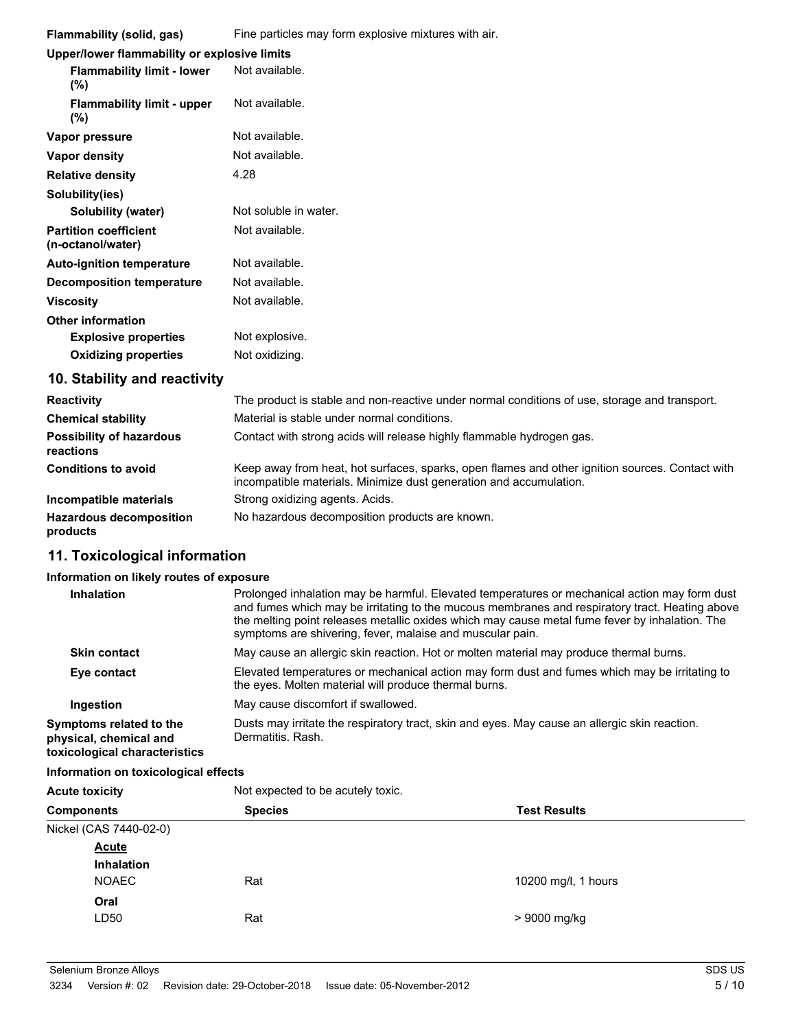| Flammability (solid, gas)                         | Fine particles may form explosive mixtures with air. |  |  |
|---------------------------------------------------|------------------------------------------------------|--|--|
| Upper/lower flammability or explosive limits      |                                                      |  |  |
| <b>Flammability limit - lower</b><br>$(\%)$       | Not available.                                       |  |  |
| <b>Flammability limit - upper</b><br>$(\%)$       | Not available.                                       |  |  |
| Vapor pressure                                    | Not available.                                       |  |  |
| Vapor density                                     | Not available.                                       |  |  |
| <b>Relative density</b>                           | 4.28                                                 |  |  |
| Solubility(ies)                                   |                                                      |  |  |
| <b>Solubility (water)</b>                         | Not soluble in water.                                |  |  |
| <b>Partition coefficient</b><br>(n-octanol/water) | Not available.                                       |  |  |
| <b>Auto-ignition temperature</b>                  | Not available.                                       |  |  |
| <b>Decomposition temperature</b>                  | Not available.                                       |  |  |
| <b>Viscosity</b>                                  | Not available.                                       |  |  |
| <b>Other information</b>                          |                                                      |  |  |
| <b>Explosive properties</b>                       | Not explosive.                                       |  |  |
| <b>Oxidizing properties</b>                       | Not oxidizing.                                       |  |  |
| 10. Stability and reactivity                      |                                                      |  |  |

| <b>Reactivity</b>                            | The product is stable and non-reactive under normal conditions of use, storage and transport.                                                                         |
|----------------------------------------------|-----------------------------------------------------------------------------------------------------------------------------------------------------------------------|
| <b>Chemical stability</b>                    | Material is stable under normal conditions.                                                                                                                           |
| <b>Possibility of hazardous</b><br>reactions | Contact with strong acids will release highly flammable hydrogen gas.                                                                                                 |
| <b>Conditions to avoid</b>                   | Keep away from heat, hot surfaces, sparks, open flames and other ignition sources. Contact with<br>incompatible materials. Minimize dust generation and accumulation. |
| Incompatible materials                       | Strong oxidizing agents. Acids.                                                                                                                                       |
| <b>Hazardous decomposition</b><br>products   | No hazardous decomposition products are known.                                                                                                                        |

## **11. Toxicological information**

#### **Information on likely routes of exposure**

| <b>Inhalation</b>                                                                  | Prolonged inhalation may be harmful. Elevated temperatures or mechanical action may form dust<br>and fumes which may be irritating to the mucous membranes and respiratory tract. Heating above<br>the melting point releases metallic oxides which may cause metal fume fever by inhalation. The<br>symptoms are shivering, fever, malaise and muscular pain. |
|------------------------------------------------------------------------------------|----------------------------------------------------------------------------------------------------------------------------------------------------------------------------------------------------------------------------------------------------------------------------------------------------------------------------------------------------------------|
| <b>Skin contact</b>                                                                | May cause an allergic skin reaction. Hot or molten material may produce thermal burns.                                                                                                                                                                                                                                                                         |
| Eye contact                                                                        | Elevated temperatures or mechanical action may form dust and fumes which may be irritating to<br>the eyes. Molten material will produce thermal burns.                                                                                                                                                                                                         |
| Ingestion                                                                          | May cause discomfort if swallowed.                                                                                                                                                                                                                                                                                                                             |
| Symptoms related to the<br>physical, chemical and<br>toxicological characteristics | Dusts may irritate the respiratory tract, skin and eyes. May cause an allergic skin reaction.<br>Dermatitis, Rash.                                                                                                                                                                                                                                             |

# **Information on toxicological effects**

| <b>Acute toxicity</b>  | Not expected to be acutely toxic. |                     |  |
|------------------------|-----------------------------------|---------------------|--|
| <b>Components</b>      | <b>Species</b>                    | <b>Test Results</b> |  |
| Nickel (CAS 7440-02-0) |                                   |                     |  |
| <b>Acute</b>           |                                   |                     |  |
| <b>Inhalation</b>      |                                   |                     |  |
| <b>NOAEC</b>           | Rat                               | 10200 mg/l, 1 hours |  |
| Oral                   |                                   |                     |  |
| LD50                   | Rat                               | > 9000 mg/kg        |  |
|                        |                                   |                     |  |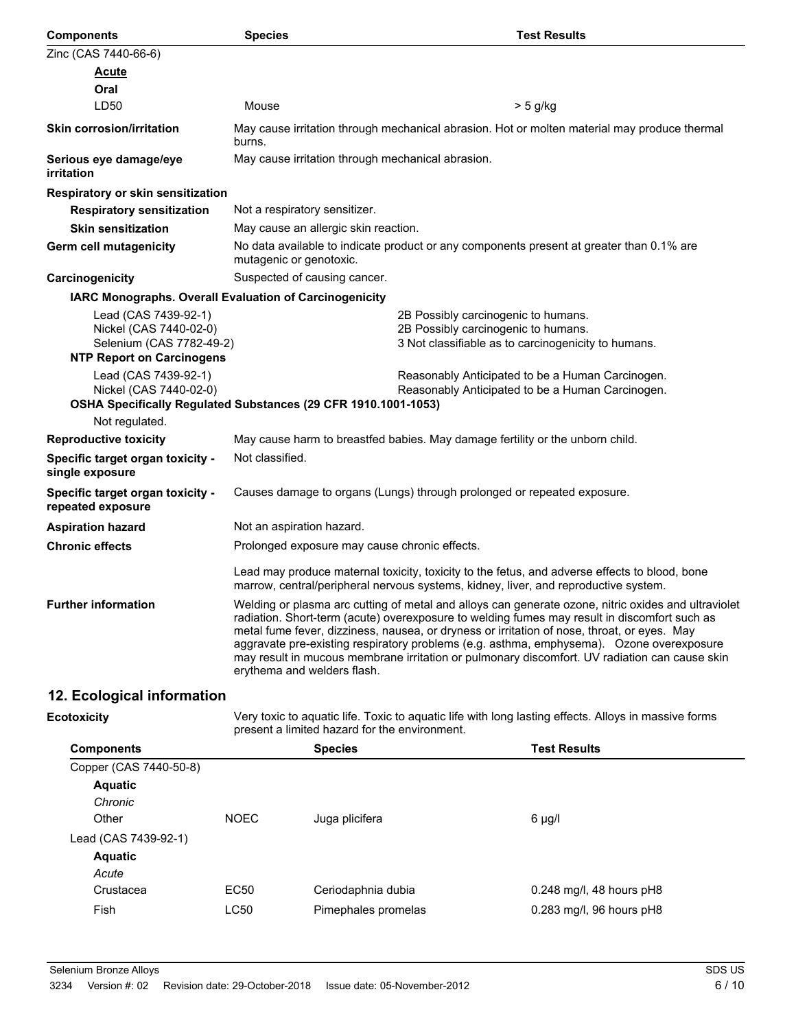| <b>Components</b>                                                                                              | <b>Species</b>                                                 | <b>Test Results</b>                                                                                                                                                                                                                                                                                                                                                                                                                                                                             |
|----------------------------------------------------------------------------------------------------------------|----------------------------------------------------------------|-------------------------------------------------------------------------------------------------------------------------------------------------------------------------------------------------------------------------------------------------------------------------------------------------------------------------------------------------------------------------------------------------------------------------------------------------------------------------------------------------|
| Zinc (CAS 7440-66-6)                                                                                           |                                                                |                                                                                                                                                                                                                                                                                                                                                                                                                                                                                                 |
| <u>Acute</u>                                                                                                   |                                                                |                                                                                                                                                                                                                                                                                                                                                                                                                                                                                                 |
| Oral                                                                                                           |                                                                |                                                                                                                                                                                                                                                                                                                                                                                                                                                                                                 |
| LD50                                                                                                           | Mouse                                                          | > 5 g/kg                                                                                                                                                                                                                                                                                                                                                                                                                                                                                        |
| <b>Skin corrosion/irritation</b>                                                                               | burns.                                                         | May cause irritation through mechanical abrasion. Hot or molten material may produce thermal                                                                                                                                                                                                                                                                                                                                                                                                    |
| Serious eye damage/eye<br>irritation                                                                           | May cause irritation through mechanical abrasion.              |                                                                                                                                                                                                                                                                                                                                                                                                                                                                                                 |
| <b>Respiratory or skin sensitization</b>                                                                       |                                                                |                                                                                                                                                                                                                                                                                                                                                                                                                                                                                                 |
| <b>Respiratory sensitization</b>                                                                               | Not a respiratory sensitizer.                                  |                                                                                                                                                                                                                                                                                                                                                                                                                                                                                                 |
| <b>Skin sensitization</b>                                                                                      | May cause an allergic skin reaction.                           |                                                                                                                                                                                                                                                                                                                                                                                                                                                                                                 |
| Germ cell mutagenicity                                                                                         | mutagenic or genotoxic.                                        | No data available to indicate product or any components present at greater than 0.1% are                                                                                                                                                                                                                                                                                                                                                                                                        |
| Carcinogenicity                                                                                                | Suspected of causing cancer.                                   |                                                                                                                                                                                                                                                                                                                                                                                                                                                                                                 |
|                                                                                                                | <b>IARC Monographs. Overall Evaluation of Carcinogenicity</b>  |                                                                                                                                                                                                                                                                                                                                                                                                                                                                                                 |
| Lead (CAS 7439-92-1)<br>Nickel (CAS 7440-02-0)<br>Selenium (CAS 7782-49-2)<br><b>NTP Report on Carcinogens</b> |                                                                | 2B Possibly carcinogenic to humans.<br>2B Possibly carcinogenic to humans.<br>3 Not classifiable as to carcinogenicity to humans.                                                                                                                                                                                                                                                                                                                                                               |
| Lead (CAS 7439-92-1)<br>Nickel (CAS 7440-02-0)                                                                 | OSHA Specifically Regulated Substances (29 CFR 1910.1001-1053) | Reasonably Anticipated to be a Human Carcinogen.<br>Reasonably Anticipated to be a Human Carcinogen.                                                                                                                                                                                                                                                                                                                                                                                            |
| Not regulated.                                                                                                 |                                                                |                                                                                                                                                                                                                                                                                                                                                                                                                                                                                                 |
| <b>Reproductive toxicity</b>                                                                                   |                                                                | May cause harm to breastfed babies. May damage fertility or the unborn child.                                                                                                                                                                                                                                                                                                                                                                                                                   |
| Specific target organ toxicity -<br>single exposure                                                            | Not classified.                                                |                                                                                                                                                                                                                                                                                                                                                                                                                                                                                                 |
| Specific target organ toxicity -<br>repeated exposure                                                          |                                                                | Causes damage to organs (Lungs) through prolonged or repeated exposure.                                                                                                                                                                                                                                                                                                                                                                                                                         |
| <b>Aspiration hazard</b>                                                                                       | Not an aspiration hazard.                                      |                                                                                                                                                                                                                                                                                                                                                                                                                                                                                                 |
| <b>Chronic effects</b>                                                                                         | Prolonged exposure may cause chronic effects.                  |                                                                                                                                                                                                                                                                                                                                                                                                                                                                                                 |
|                                                                                                                |                                                                | Lead may produce maternal toxicity, toxicity to the fetus, and adverse effects to blood, bone<br>marrow, central/peripheral nervous systems, kidney, liver, and reproductive system.                                                                                                                                                                                                                                                                                                            |
| <b>Further information</b>                                                                                     | erythema and welders flash.                                    | Welding or plasma arc cutting of metal and alloys can generate ozone, nitric oxides and ultraviolet<br>radiation. Short-term (acute) overexposure to welding fumes may result in discomfort such as<br>metal fume fever, dizziness, nausea, or dryness or irritation of nose, throat, or eyes. May<br>aggravate pre-existing respiratory problems (e.g. asthma, emphysema). Ozone overexposure<br>may result in mucous membrane irritation or pulmonary discomfort. UV radiation can cause skin |
| 12. Ecological information                                                                                     |                                                                |                                                                                                                                                                                                                                                                                                                                                                                                                                                                                                 |

# **Ecotoxicity**

| :otoxicity             |             | Very toxic to aquatic life. Toxic to aquatic life with long lasting effects. Alloys in massive forms<br>present a limited hazard for the environment. |                            |  |  |
|------------------------|-------------|-------------------------------------------------------------------------------------------------------------------------------------------------------|----------------------------|--|--|
| <b>Components</b>      |             | <b>Species</b>                                                                                                                                        | <b>Test Results</b>        |  |  |
| Copper (CAS 7440-50-8) |             |                                                                                                                                                       |                            |  |  |
| <b>Aquatic</b>         |             |                                                                                                                                                       |                            |  |  |
| Chronic                |             |                                                                                                                                                       |                            |  |  |
| Other                  | <b>NOEC</b> | Juga plicifera                                                                                                                                        | 6 µg/l                     |  |  |
| Lead (CAS 7439-92-1)   |             |                                                                                                                                                       |                            |  |  |
| <b>Aquatic</b>         |             |                                                                                                                                                       |                            |  |  |
| Acute                  |             |                                                                                                                                                       |                            |  |  |
| Crustacea              | EC50        | Ceriodaphnia dubia                                                                                                                                    | $0.248$ mg/l, 48 hours pH8 |  |  |
| Fish                   | <b>LC50</b> | Pimephales promelas                                                                                                                                   | 0.283 mg/l, 96 hours pH8   |  |  |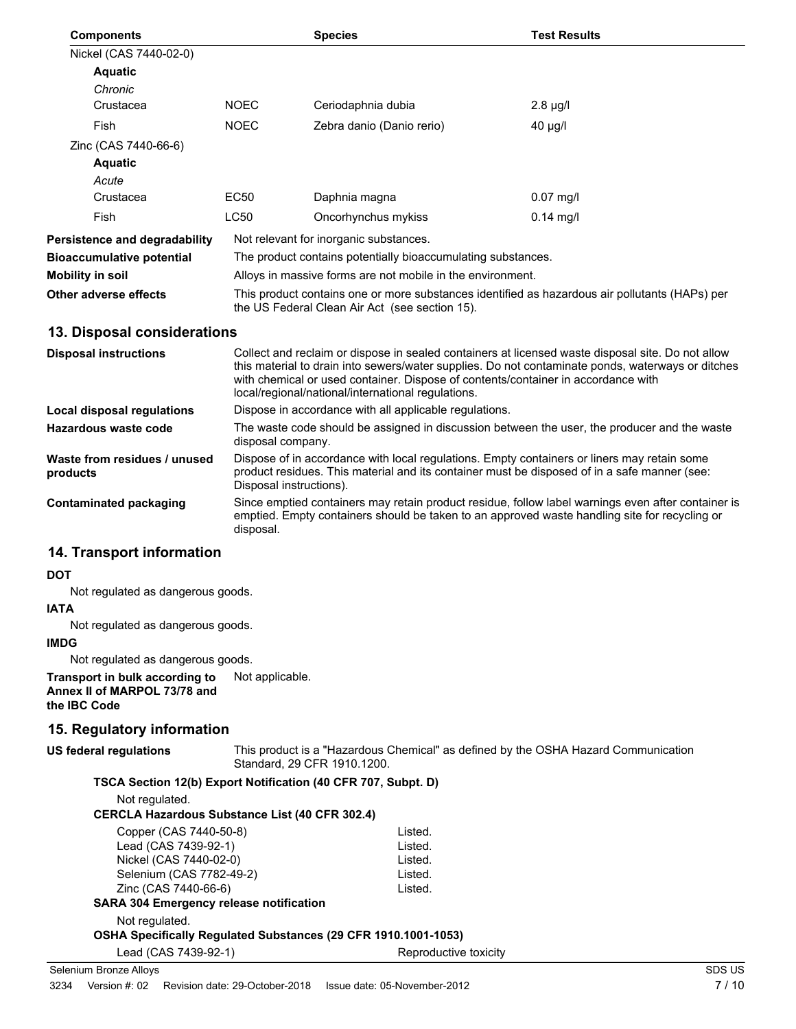| <b>Components</b>                    |                                                                                                                                                  | <b>Species</b>                                               | <b>Test Results</b> |
|--------------------------------------|--------------------------------------------------------------------------------------------------------------------------------------------------|--------------------------------------------------------------|---------------------|
| Nickel (CAS 7440-02-0)               |                                                                                                                                                  |                                                              |                     |
| <b>Aquatic</b>                       |                                                                                                                                                  |                                                              |                     |
| Chronic                              |                                                                                                                                                  |                                                              |                     |
| Crustacea                            | <b>NOEC</b>                                                                                                                                      | Ceriodaphnia dubia                                           | $2.8 \mu g/l$       |
| Fish                                 | <b>NOEC</b>                                                                                                                                      | Zebra danio (Danio rerio)                                    | $40 \mu g/l$        |
| Zinc (CAS 7440-66-6)                 |                                                                                                                                                  |                                                              |                     |
| <b>Aquatic</b>                       |                                                                                                                                                  |                                                              |                     |
| Acute                                |                                                                                                                                                  |                                                              |                     |
| Crustacea                            | EC50                                                                                                                                             | Daphnia magna                                                | $0.07 \text{ mq/l}$ |
| Fish                                 | <b>LC50</b>                                                                                                                                      | Oncorhynchus mykiss                                          | $0.14$ mg/l         |
| <b>Persistence and degradability</b> |                                                                                                                                                  | Not relevant for inorganic substances.                       |                     |
| Bioaccumulative potential            |                                                                                                                                                  | The product contains potentially bioaccumulating substances. |                     |
| Mobility in soil                     | Alloys in massive forms are not mobile in the environment.                                                                                       |                                                              |                     |
| Other adverse effects                | This product contains one or more substances identified as hazardous air pollutants (HAPs) per<br>the US Federal Clean Air Act (see section 15). |                                                              |                     |

## **13. Disposal considerations**

| <b>Disposal instructions</b>             | Collect and reclaim or dispose in sealed containers at licensed waste disposal site. Do not allow<br>this material to drain into sewers/water supplies. Do not contaminate ponds, waterways or ditches<br>with chemical or used container. Dispose of contents/container in accordance with<br>local/regional/national/international regulations. |
|------------------------------------------|---------------------------------------------------------------------------------------------------------------------------------------------------------------------------------------------------------------------------------------------------------------------------------------------------------------------------------------------------|
| Local disposal regulations               | Dispose in accordance with all applicable regulations.                                                                                                                                                                                                                                                                                            |
| Hazardous waste code                     | The waste code should be assigned in discussion between the user, the producer and the waste<br>disposal company.                                                                                                                                                                                                                                 |
| Waste from residues / unused<br>products | Dispose of in accordance with local regulations. Empty containers or liners may retain some<br>product residues. This material and its container must be disposed of in a safe manner (see:<br>Disposal instructions).                                                                                                                            |
| Contaminated packaging                   | Since emptied containers may retain product residue, follow label warnings even after container is<br>emptied. Empty containers should be taken to an approved waste handling site for recycling or<br>disposal.                                                                                                                                  |

## **14. Transport information**

#### **DOT**

Not regulated as dangerous goods.

#### **IATA**

Not regulated as dangerous goods.

## **IMDG**

Not regulated as dangerous goods.

**Transport in bulk according to** Not applicable. **Annex II of MARPOL 73/78 and the IBC Code**

## **15. Regulatory information**

## **US federal regulations**

This product is a "Hazardous Chemical" as defined by the OSHA Hazard Communication Standard, 29 CFR 1910.1200.

## **TSCA Section 12(b) Export Notification (40 CFR 707, Subpt. D)**

Not regulated.

## **CERCLA Hazardous Substance List (40 CFR 302.4)**

| Copper (CAS 7440-50-8)                                         | Listed. |
|----------------------------------------------------------------|---------|
| Lead (CAS 7439-92-1)                                           | Listed. |
| Nickel (CAS 7440-02-0)                                         | Listed. |
| Selenium (CAS 7782-49-2)                                       | Listed. |
| Zinc (CAS 7440-66-6)                                           | Listed. |
| <b>SARA 304 Emergency release notification</b>                 |         |
| Not regulated.                                                 |         |
| OSHA Specifically Regulated Substances (29 CFR 1910.1001-1053) |         |
|                                                                |         |

Lead (CAS 7439-92-1) Reproductive toxicity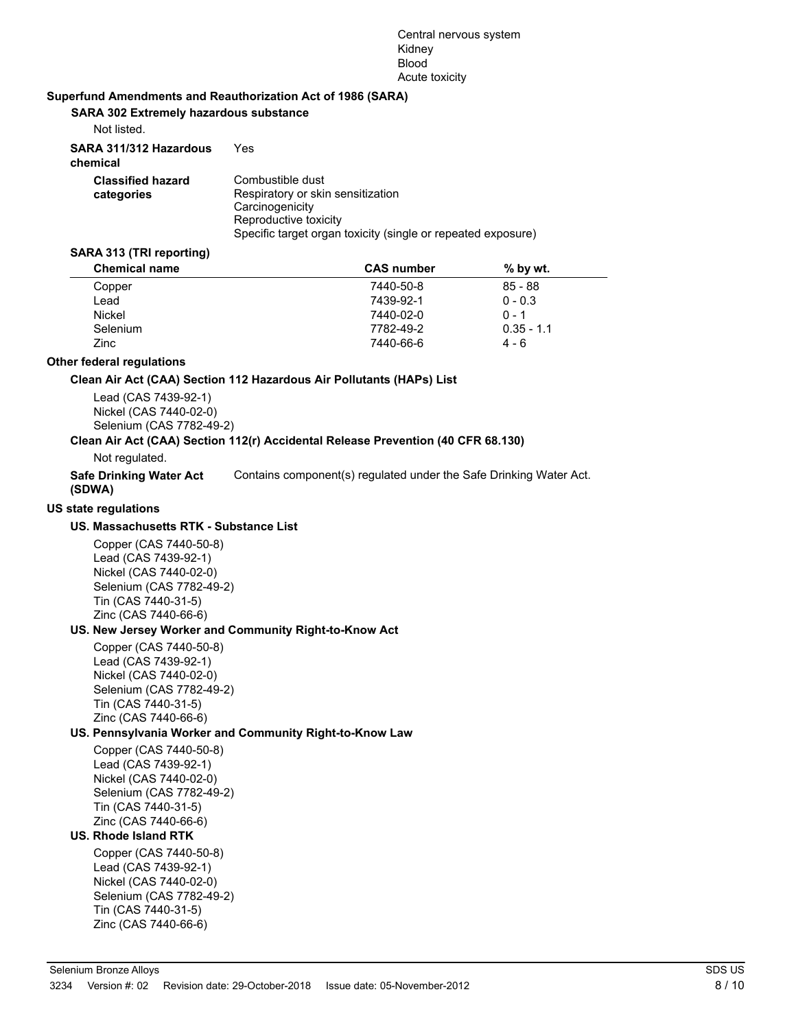#### Central nervous system Kidney **Blood** Acute toxicity

#### **Superfund Amendments and Reauthorization Act of 1986 (SARA)**

#### **SARA 302 Extremely hazardous substance**

Not listed.

| SARA 311/312 Hazardous<br>chemical     | Yes                                                                                                                                                               |
|----------------------------------------|-------------------------------------------------------------------------------------------------------------------------------------------------------------------|
| <b>Classified hazard</b><br>categories | Combustible dust<br>Respiratory or skin sensitization<br>Carcinogenicity<br>Reproductive toxicity<br>Specific target organ toxicity (single or repeated exposure) |

#### **SARA 313 (TRI reporting)**

| <b>Chemical name</b> | <b>CAS number</b> | $%$ by wt.   |  |
|----------------------|-------------------|--------------|--|
| Copper               | 7440-50-8         | $85 - 88$    |  |
| Lead                 | 7439-92-1         | $0 - 0.3$    |  |
| Nickel               | 7440-02-0         | $0 - 1$      |  |
| Selenium             | 7782-49-2         | $0.35 - 1.1$ |  |
| Zinc                 | 7440-66-6         | 4 - 6        |  |

## **Other federal regulations**

#### **Clean Air Act (CAA) Section 112 Hazardous Air Pollutants (HAPs) List**

Lead (CAS 7439-92-1) Nickel (CAS 7440-02-0) Selenium (CAS 7782-49-2)

## **Clean Air Act (CAA) Section 112(r) Accidental Release Prevention (40 CFR 68.130)**

Not regulated.

**Safe Drinking Water Act** Contains component(s) regulated under the Safe Drinking Water Act.

## **(SDWA)**

## **US state regulations**

## **US. Massachusetts RTK - Substance List**

Copper (CAS 7440-50-8) Lead (CAS 7439-92-1) Nickel (CAS 7440-02-0) Selenium (CAS 7782-49-2) Tin (CAS 7440-31-5) Zinc (CAS 7440-66-6)

## **US. New Jersey Worker and Community Right-to-Know Act**

Copper (CAS 7440-50-8) Lead (CAS 7439-92-1) Nickel (CAS 7440-02-0) Selenium (CAS 7782-49-2) Tin (CAS 7440-31-5) Zinc (CAS 7440-66-6)

## **US. Pennsylvania Worker and Community Right-to-Know Law**

Copper (CAS 7440-50-8) Lead (CAS 7439-92-1) Nickel (CAS 7440-02-0) Selenium (CAS 7782-49-2) Tin (CAS 7440-31-5) Zinc (CAS 7440-66-6)

## **US. Rhode Island RTK**

Copper (CAS 7440-50-8) Lead (CAS 7439-92-1) Nickel (CAS 7440-02-0) Selenium (CAS 7782-49-2) Tin (CAS 7440-31-5) Zinc (CAS 7440-66-6)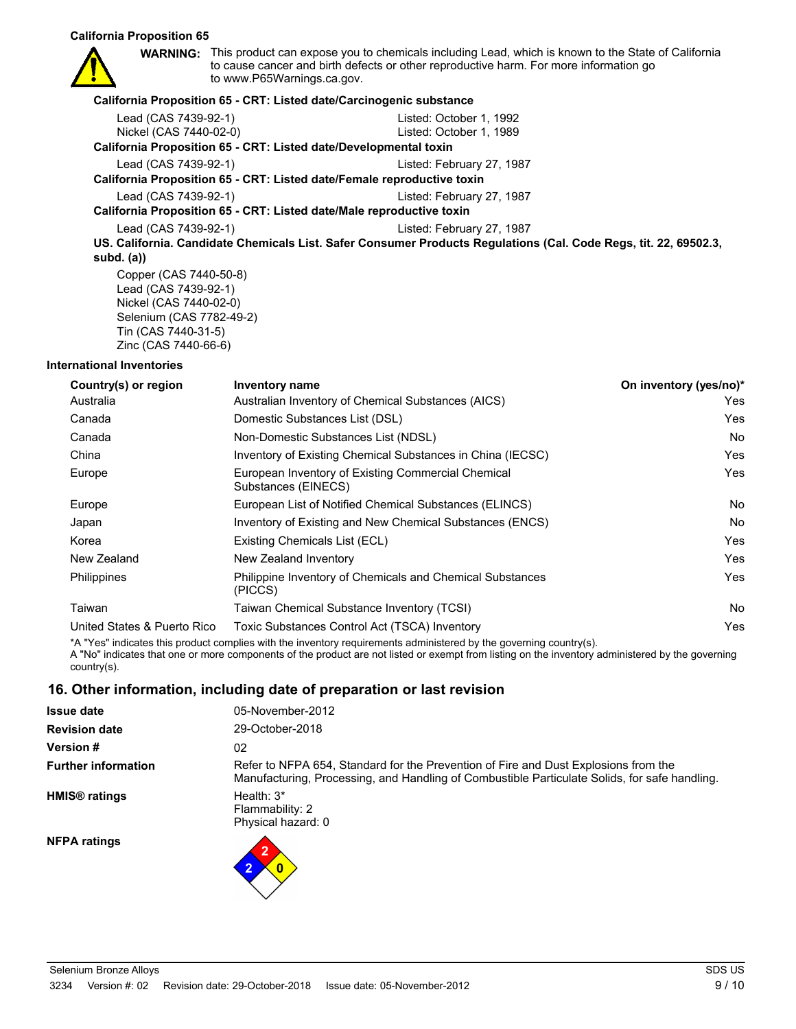#### **California Proposition 65**



**WARNING:** This product can expose you to chemicals including Lead, which is known to the State of California to cause cancer and birth defects or other reproductive harm. For more information go to www.P65Warnings.ca.gov.

#### **California Proposition 65 - CRT: Listed date/Carcinogenic substance**

| Lead (CAS 7439-92-1)                                                   | Listed: October 1, 1992                                                                                          |
|------------------------------------------------------------------------|------------------------------------------------------------------------------------------------------------------|
| Nickel (CAS 7440-02-0)                                                 | Listed: October 1, 1989                                                                                          |
| California Proposition 65 - CRT: Listed date/Developmental toxin       |                                                                                                                  |
| Lead (CAS 7439-92-1)                                                   | Listed: February 27, 1987                                                                                        |
| California Proposition 65 - CRT: Listed date/Female reproductive toxin |                                                                                                                  |
| Lead (CAS 7439-92-1)                                                   | Listed: February 27, 1987                                                                                        |
| California Proposition 65 - CRT: Listed date/Male reproductive toxin   |                                                                                                                  |
| Lead (CAS 7439-92-1)                                                   | Listed: February 27, 1987                                                                                        |
|                                                                        | US. California. Candidate Chemicals List. Safer Consumer Products Regulations (Cal. Code Regs, tit. 22, 69502.3, |
| subd. $(a)$                                                            |                                                                                                                  |
| Copper (CAS 7440-50-8)                                                 |                                                                                                                  |
| Lead (CAS 7439-92-1)                                                   |                                                                                                                  |
| Nickel (CAS 7440-02-0)                                                 |                                                                                                                  |

Nickel (CAS 7440-02-0) Selenium (CAS 7782-49-2) Tin (CAS 7440-31-5) Zinc (CAS 7440-66-6)

#### **International Inventories**

| <b>Inventory name</b>                                                     | On inventory (yes/no)* |
|---------------------------------------------------------------------------|------------------------|
| Australian Inventory of Chemical Substances (AICS)                        | Yes                    |
| Domestic Substances List (DSL)                                            | Yes                    |
| Non-Domestic Substances List (NDSL)                                       | No.                    |
| Inventory of Existing Chemical Substances in China (IECSC)                | Yes                    |
| European Inventory of Existing Commercial Chemical<br>Substances (EINECS) | Yes                    |
| European List of Notified Chemical Substances (ELINCS)                    | No.                    |
| Inventory of Existing and New Chemical Substances (ENCS)                  | No.                    |
| Existing Chemicals List (ECL)                                             | Yes                    |
| New Zealand Inventory                                                     | Yes                    |
| Philippine Inventory of Chemicals and Chemical Substances<br>(PICCS)      | Yes                    |
| Taiwan Chemical Substance Inventory (TCSI)                                | <b>No</b>              |
| Toxic Substances Control Act (TSCA) Inventory                             | Yes                    |
|                                                                           |                        |

\*A "Yes" indicates this product complies with the inventory requirements administered by the governing country(s). A "No" indicates that one or more components of the product are not listed or exempt from listing on the inventory administered by the governing country(s).

## **16. Other information, including date of preparation or last revision**

| <b>Issue date</b>               | 05-November-2012                                                                                                                                                                     |
|---------------------------------|--------------------------------------------------------------------------------------------------------------------------------------------------------------------------------------|
| <b>Revision date</b>            | 29-October-2018                                                                                                                                                                      |
| <b>Version#</b>                 | 02                                                                                                                                                                                   |
| <b>Further information</b>      | Refer to NFPA 654, Standard for the Prevention of Fire and Dust Explosions from the<br>Manufacturing, Processing, and Handling of Combustible Particulate Solids, for safe handling. |
| <b>HMIS<sup>®</sup></b> ratings | Health: $3*$<br>Flammability: 2<br>Physical hazard: 0                                                                                                                                |
| <b>NFPA ratings</b>             | 2                                                                                                                                                                                    |